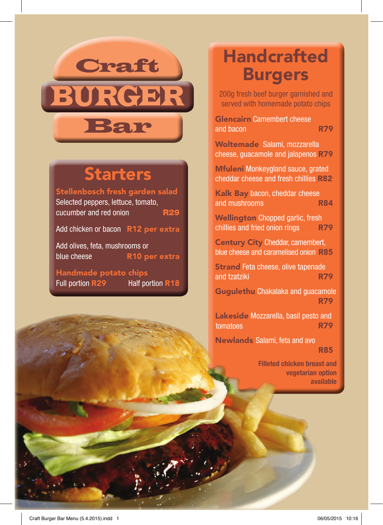## **Craft** BURGER Bar

## **Starters**

Stellenbosch fresh garden salad Selected peppers, lettuce, tomato, cucumber and red onion  $R29$ 

Add chicken or bacon R12 per extra

Add olives, feta, mushrooms or blue cheese R10 per extra

Handmade potato chips Full portion R29 Half portion R18

## **Handcrafted** Burgers

200g fresh beef burger garnished and served with homemade potato chips

Glencairn Camembert cheese and bacon

R79

Woltemade Salami, mozzarella cheese, guacamole and jalapenos R79

Mfuleni Monkeygland sauce, grated cheddar cheese and fresh chillies R82

Kalk Bay bacon, cheddar cheese and mushrooms R84

Wellington Chopped garlic, fresh chillies and fried onion rings R79

Century City Cheddar, camembert, blue cheese and caramelised onion R85

Strand Feta cheese, olive tapenade and tzatziki R79

Gugulethu Chakalaka and guacamole R79

Lakeside Mozzarella, basil pesto and tomatoes R79 R82<br>
e<br>
R84<br>
sh<br>
R79<br>
ert,<br>
R85<br>
amol<br>
R79<br>
and<br>
R79<br>
R85

Newlands Salami, feta and avo sauce R85 (R79) et al. (R79) et al. (R79) et al. (R85

> Filleted chicken breast and vegetarian option available